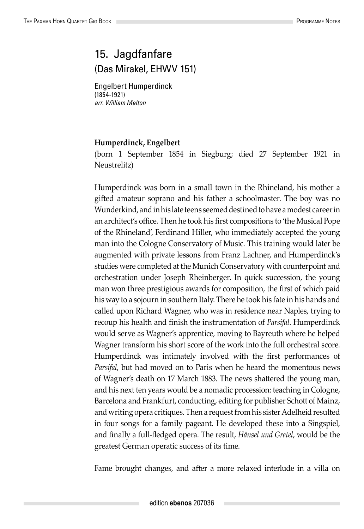## 15. Jagdfanfare (Das Mirakel, EHWV 151)

Engelbert Humperdinck (1854-1921) *arr. William Melton*

## **Humperdinck, Engelbert**

(born 1 September 1854 in Siegburg; died 27 September 1921 in Neustrelitz)

Humperdinck was born in a small town in the Rhineland, his mother a gifted amateur soprano and his father a schoolmaster. The boy was no Wunderkind, and in his late teens seemed destined to have a modest career in an architect's office. Then he took his first compositions to 'the Musical Pope of the Rhineland', Ferdinand Hiller, who immediately accepted the young man into the Cologne Conservatory of Music. This training would later be augmented with private lessons from Franz Lachner, and Humperdinck's studies were completed at the Munich Conservatory with counterpoint and orchestration under Joseph Rheinberger. In quick succession, the young man won three prestigious awards for composition, the first of which paid his way to a sojourn in southern Italy. There he took his fate in his hands and called upon Richard Wagner, who was in residence near Naples, trying to recoup his health and finish the instrumentation of *Parsifal*. Humperdinck would serve as Wagner's apprentice, moving to Bayreuth where he helped Wagner transform his short score of the work into the full orchestral score. Humperdinck was intimately involved with the first performances of *Parsifal*, but had moved on to Paris when he heard the momentous news of Wagner's death on 17 March 1883. The news shattered the young man, and his next ten years would be a nomadic procession: teaching in Cologne, Barcelona and Frankfurt, conducting, editing for publisher Schott of Mainz, and writing opera critiques. Then a request from his sister Adelheid resulted in four songs for a family pageant. He developed these into a Singspiel, and finally a full-fledged opera. The result, *Hänsel und Gretel*, would be the greatest German operatic success of its time.

Fame brought changes, and after a more relaxed interlude in a villa on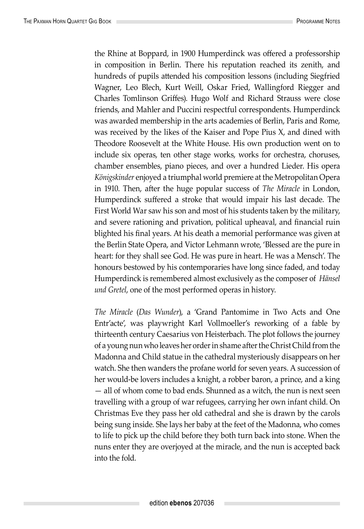the Rhine at Boppard, in 1900 Humperdinck was offered a professorship in composition in Berlin. There his reputation reached its zenith, and hundreds of pupils attended his composition lessons (including Siegfried Wagner, Leo Blech, Kurt Weill, Oskar Fried, Wallingford Riegger and Charles Tomlinson Griffes). Hugo Wolf and Richard Strauss were close friends, and Mahler and Puccini respectful correspondents. Humperdinck was awarded membership in the arts academies of Berlin, Paris and Rome, was received by the likes of the Kaiser and Pope Pius X, and dined with Theodore Roosevelt at the White House. His own production went on to include six operas, ten other stage works, works for orchestra, choruses, chamber ensembles, piano pieces, and over a hundred Lieder. His opera *Königskinder* enjoyed a triumphal world premiere at the Metropolitan Opera in 1910. Then, after the huge popular success of *The Miracle* in London, Humperdinck suffered a stroke that would impair his last decade. The First World War saw his son and most of his students taken by the military, and severe rationing and privation, political upheaval, and financial ruin blighted his final years. At his death a memorial performance was given at the Berlin State Opera, and Victor Lehmann wrote, 'Blessed are the pure in heart: for they shall see God. He was pure in heart. He was a Mensch'. The honours bestowed by his contemporaries have long since faded, and today Humperdinck is remembered almost exclusively as the composer of *Hänsel und Gretel*, one of the most performed operas in history.

*The Miracle* (*Das Wunder*), a 'Grand Pantomime in Two Acts and One Entr'acte', was playwright Karl Vollmoeller's reworking of a fable by thirteenth century Caesarius von Heisterbach. The plot follows the journey of a young nun who leaves her order in shame after the Christ Child from the Madonna and Child statue in the cathedral mysteriously disappears on her watch. She then wanders the profane world for seven years. A succession of her would-be lovers includes a knight, a robber baron, a prince, and a king — all of whom come to bad ends. Shunned as a witch, the nun is next seen travelling with a group of war refugees, carrying her own infant child. On Christmas Eve they pass her old cathedral and she is drawn by the carols being sung inside. She lays her baby at the feet of the Madonna, who comes to life to pick up the child before they both turn back into stone. When the nuns enter they are overjoyed at the miracle, and the nun is accepted back into the fold.